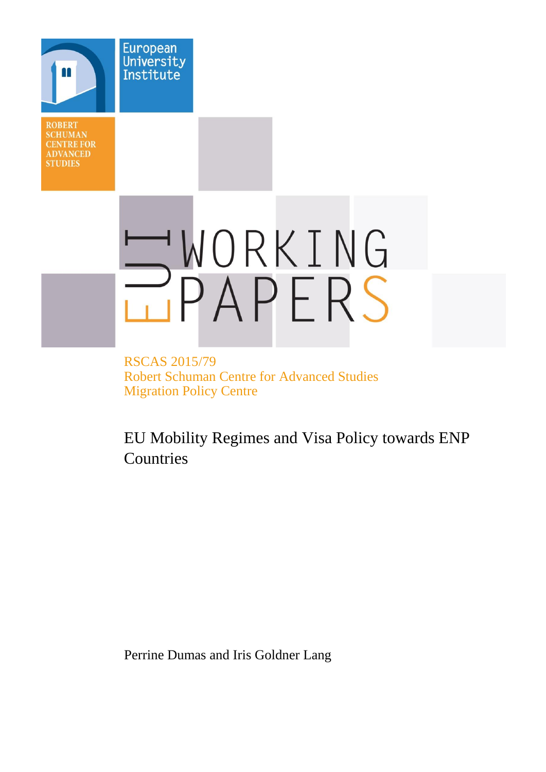**ROBERT SCHUMAN CENTRE FOR ADVANCED STUDIES** 

**European** University Institute

# WORKING

RSCAS 2015/79 Robert Schuman Centre for Advanced Studies Migration Policy Centre

EU Mobility Regimes and Visa Policy towards ENP Countries

Perrine Dumas and Iris Goldner Lang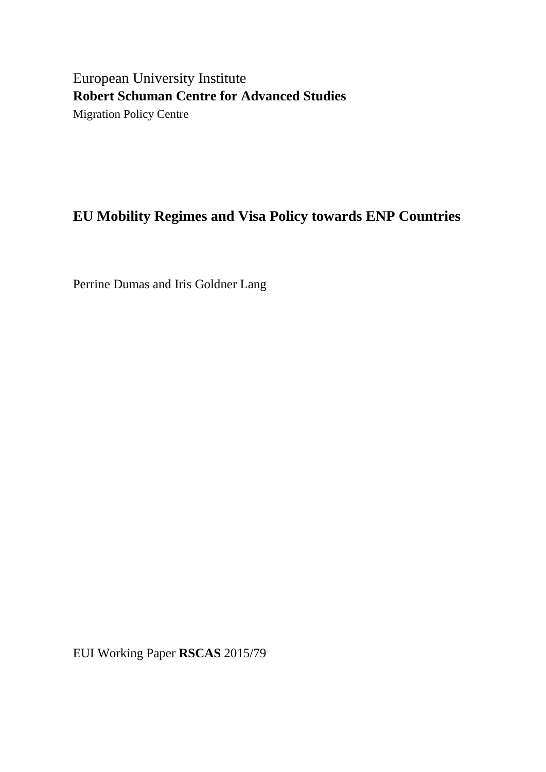# European University Institute **Robert Schuman Centre for Advanced Studies**

Migration Policy Centre

## **EU Mobility Regimes and Visa Policy towards ENP Countries**

Perrine Dumas and Iris Goldner Lang

EUI Working Paper **RSCAS** 2015/79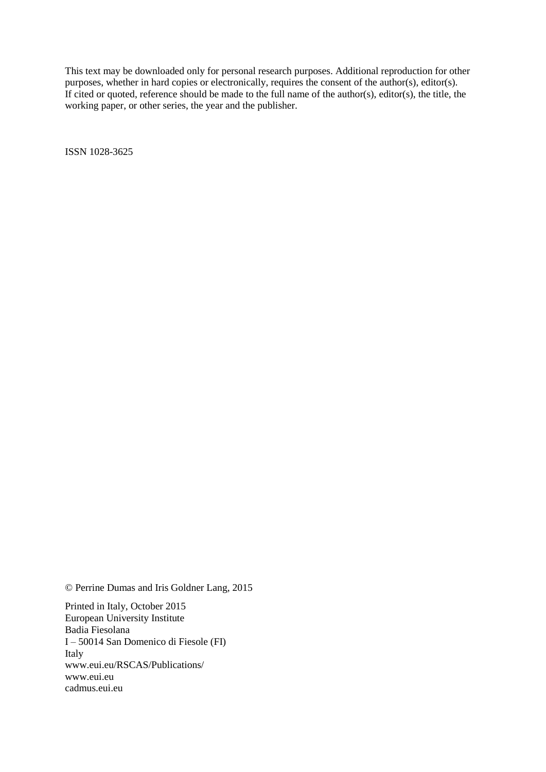This text may be downloaded only for personal research purposes. Additional reproduction for other purposes, whether in hard copies or electronically, requires the consent of the author(s), editor(s). If cited or quoted, reference should be made to the full name of the author(s), editor(s), the title, the working paper, or other series, the year and the publisher.

ISSN 1028-3625

© Perrine Dumas and Iris Goldner Lang, 2015

Printed in Italy, October 2015 European University Institute Badia Fiesolana I – 50014 San Domenico di Fiesole (FI) Italy [www.eui.eu/RSCAS/Publications/](http://www.eui.eu/RSCAS/Publications/) [www.eui.eu](http://www.eui.eu/) [cadmus.eui.eu](http://cadmus.eui.eu/dspace/index.jsp)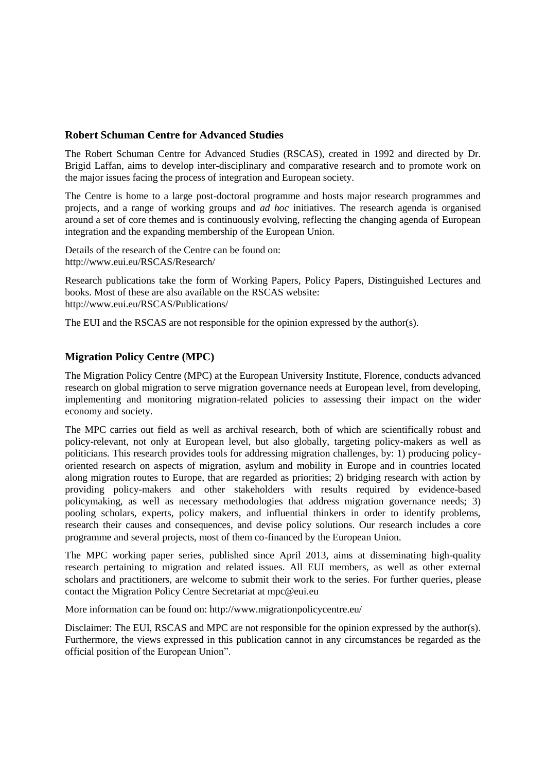### **Robert Schuman Centre for Advanced Studies**

The Robert Schuman Centre for Advanced Studies (RSCAS), created in 1992 and directed by Dr. Brigid Laffan, aims to develop inter-disciplinary and comparative research and to promote work on the major issues facing the process of integration and European society.

The Centre is home to a large post-doctoral programme and hosts major research programmes and projects, and a range of working groups and *ad hoc* initiatives. The research agenda is organised around a set of core themes and is continuously evolving, reflecting the changing agenda of European integration and the expanding membership of the European Union.

Details of the research of the Centre can be found on: <http://www.eui.eu/RSCAS/Research/>

Research publications take the form of Working Papers, Policy Papers, Distinguished Lectures and books. Most of these are also available on the RSCAS website: <http://www.eui.eu/RSCAS/Publications/>

The EUI and the RSCAS are not responsible for the opinion expressed by the author(s).

### **Migration Policy Centre (MPC)**

The Migration Policy Centre (MPC) at the European University Institute, Florence, conducts advanced research on global migration to serve migration governance needs at European level, from developing, implementing and monitoring migration-related policies to assessing their impact on the wider economy and society.

The MPC carries out field as well as archival research, both of which are scientifically robust and policy-relevant, not only at European level, but also globally, targeting policy-makers as well as politicians. This research provides tools for addressing migration challenges, by: 1) producing policyoriented research on aspects of migration, asylum and mobility in Europe and in countries located along migration routes to Europe, that are regarded as priorities; 2) bridging research with action by providing policy-makers and other stakeholders with results required by evidence-based policymaking, as well as necessary methodologies that address migration governance needs; 3) pooling scholars, experts, policy makers, and influential thinkers in order to identify problems, research their causes and consequences, and devise policy solutions. Our research includes a core programme and several projects, most of them co-financed by the European Union.

The MPC working paper series, published since April 2013, aims at disseminating high-quality research pertaining to migration and related issues. All EUI members, as well as other external scholars and practitioners, are welcome to submit their work to the series. For further queries, please contact the Migration Policy Centre Secretariat at [mpc@eui.eu](mailto:mpc@eui.eu)

More information can be found on: <http://www.migrationpolicycentre.eu/>

Disclaimer: The EUI, RSCAS and MPC are not responsible for the opinion expressed by the author(s). Furthermore, the views expressed in this publication cannot in any circumstances be regarded as the official position of the European Union".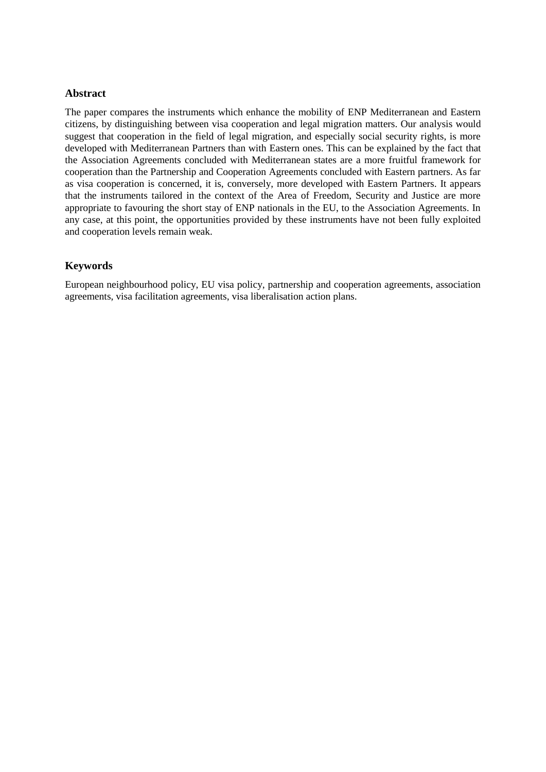### **Abstract**

The paper compares the instruments which enhance the mobility of ENP Mediterranean and Eastern citizens, by distinguishing between visa cooperation and legal migration matters. Our analysis would suggest that cooperation in the field of legal migration, and especially social security rights, is more developed with Mediterranean Partners than with Eastern ones. This can be explained by the fact that the Association Agreements concluded with Mediterranean states are a more fruitful framework for cooperation than the Partnership and Cooperation Agreements concluded with Eastern partners. As far as visa cooperation is concerned, it is, conversely, more developed with Eastern Partners. It appears that the instruments tailored in the context of the Area of Freedom, Security and Justice are more appropriate to favouring the short stay of ENP nationals in the EU, to the Association Agreements. In any case, at this point, the opportunities provided by these instruments have not been fully exploited and cooperation levels remain weak.

### **Keywords**

European neighbourhood policy, EU visa policy, partnership and cooperation agreements, association agreements, visa facilitation agreements, visa liberalisation action plans.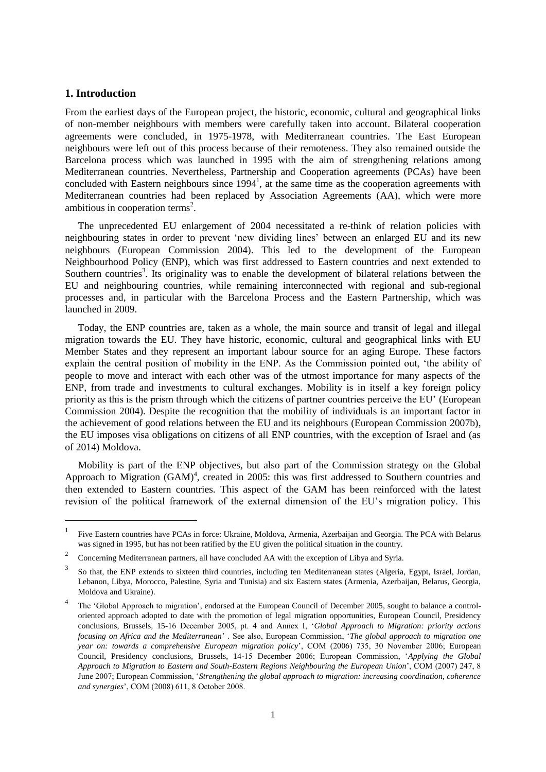### **1. Introduction**

l

From the earliest days of the European project, the historic, economic, cultural and geographical links of non-member neighbours with members were carefully taken into account. Bilateral cooperation agreements were concluded, in 1975-1978, with Mediterranean countries. The East European neighbours were left out of this process because of their remoteness. They also remained outside the Barcelona process which was launched in 1995 with the aim of strengthening relations among Mediterranean countries. Nevertheless, Partnership and Cooperation agreements (PCAs) have been concluded with Eastern neighbours since  $1994<sup>1</sup>$ , at the same time as the cooperation agreements with Mediterranean countries had been replaced by Association Agreements (AA), which were more ambitious in cooperation terms<sup>2</sup>.

The unprecedented EU enlargement of 2004 necessitated a re-think of relation policies with neighbouring states in order to prevent 'new dividing lines' between an enlarged EU and its new neighbours (European Commission 2004). This led to the development of the European Neighbourhood Policy (ENP), which was first addressed to Eastern countries and next extended to Southern countries<sup>3</sup>. Its originality was to enable the development of bilateral relations between the EU and neighbouring countries, while remaining interconnected with regional and sub-regional processes and, in particular with the Barcelona Process and the Eastern Partnership, which was launched in 2009.

Today, the ENP countries are, taken as a whole, the main source and transit of legal and illegal migration towards the EU. They have historic, economic, cultural and geographical links with EU Member States and they represent an important labour source for an aging Europe. These factors explain the central position of mobility in the ENP. As the Commission pointed out, 'the ability of people to move and interact with each other was of the utmost importance for many aspects of the ENP, from trade and investments to cultural exchanges. Mobility is in itself a key foreign policy priority as this is the prism through which the citizens of partner countries perceive the EU' (European Commission 2004). Despite the recognition that the mobility of individuals is an important factor in the achievement of good relations between the EU and its neighbours (European Commission 2007b), the EU imposes visa obligations on citizens of all ENP countries, with the exception of Israel and (as of 2014) Moldova.

Mobility is part of the ENP objectives, but also part of the Commission strategy on the Global Approach to Migration  $(GAM)^4$ , created in 2005: this was first addressed to Southern countries and then extended to Eastern countries. This aspect of the GAM has been reinforced with the latest revision of the political framework of the external dimension of the EU's migration policy. This

<sup>1</sup> Five Eastern countries have PCAs in force: Ukraine, Moldova, Armenia, Azerbaijan and Georgia. The PCA with Belarus was signed in 1995, but has not been ratified by the EU given the political situation in the country.

<sup>2</sup> Concerning Mediterranean partners, all have concluded AA with the exception of Libya and Syria.

<sup>3</sup> So that, the ENP extends to sixteen third countries, including ten Mediterranean states (Algeria, Egypt, Israel, Jordan, Lebanon, Libya, Morocco, Palestine, Syria and Tunisia) and six Eastern states (Armenia, Azerbaijan, Belarus, Georgia, Moldova and Ukraine).

<sup>4</sup> The 'Global Approach to migration', endorsed at the European Council of December 2005, sought to balance a controloriented approach adopted to date with the promotion of legal migration opportunities, European Council, Presidency conclusions, Brussels, 15-16 December 2005, pt. 4 and Annex I, '*Global Approach to Migration: priority actions focusing on Africa and the Mediterranean*' . See also, European Commission, '*The global approach to migration one year on: towards a comprehensive European migration policy*', COM (2006) 735, 30 November 2006; European Council, Presidency conclusions, Brussels, 14-15 December 2006; European Commission, '*Applying the Global Approach to Migration to Eastern and South-Eastern Regions Neighbouring the European Union*', COM (2007) 247, 8 June 2007; European Commission, '*Strengthening the global approach to migration: increasing coordination, coherence and synergies*', COM (2008) 611, 8 October 2008.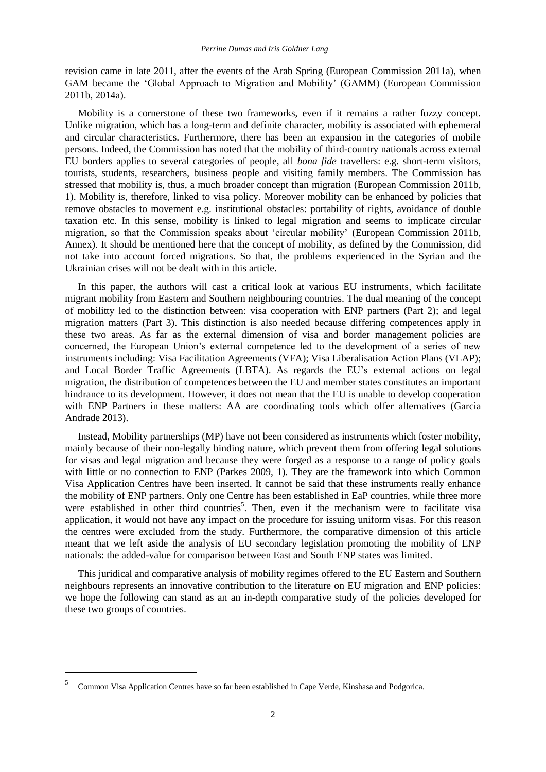revision came in late 2011, after the events of the Arab Spring (European Commission 2011a), when GAM became the 'Global Approach to Migration and Mobility' (GAMM) (European Commission 2011b, 2014a).

Mobility is a cornerstone of these two frameworks, even if it remains a rather fuzzy concept. Unlike migration, which has a long-term and definite character, mobility is associated with ephemeral and circular characteristics. Furthermore, there has been an expansion in the categories of mobile persons. Indeed, the Commission has noted that the mobility of third-country nationals across external EU borders applies to several categories of people, all *bona fide* travellers: e.g. short-term visitors, tourists, students, researchers, business people and visiting family members. The Commission has stressed that mobility is, thus, a much broader concept than migration (European Commission 2011b, 1). Mobility is, therefore, linked to visa policy. Moreover mobility can be enhanced by policies that remove obstacles to movement e.g. institutional obstacles: portability of rights, avoidance of double taxation etc. In this sense, mobility is linked to legal migration and seems to implicate circular migration, so that the Commission speaks about 'circular mobility' (European Commission 2011b, Annex). It should be mentioned here that the concept of mobility, as defined by the Commission, did not take into account forced migrations. So that, the problems experienced in the Syrian and the Ukrainian crises will not be dealt with in this article.

In this paper, the authors will cast a critical look at various EU instruments, which facilitate migrant mobility from Eastern and Southern neighbouring countries. The dual meaning of the concept of mobilitty led to the distinction between: visa cooperation with ENP partners (Part 2); and legal migration matters (Part 3). This distinction is also needed because differing competences apply in these two areas. As far as the external dimension of visa and border management policies are concerned, the European Union's external competence led to the development of a series of new instruments including: Visa Facilitation Agreements (VFA); Visa Liberalisation Action Plans (VLAP); and Local Border Traffic Agreements (LBTA). As regards the EU's external actions on legal migration, the distribution of competences between the EU and member states constitutes an important hindrance to its development. However, it does not mean that the EU is unable to develop cooperation with ENP Partners in these matters: AA are coordinating tools which offer alternatives (Garcia Andrade 2013).

Instead, Mobility partnerships (MP) have not been considered as instruments which foster mobility, mainly because of their non-legally binding nature, which prevent them from offering legal solutions for visas and legal migration and because they were forged as a response to a range of policy goals with little or no connection to ENP (Parkes 2009, 1). They are the framework into which Common Visa Application Centres have been inserted. It cannot be said that these instruments really enhance the mobility of ENP partners. Only one Centre has been established in EaP countries, while three more were established in other third countries<sup>5</sup>. Then, even if the mechanism were to facilitate visa application, it would not have any impact on the procedure for issuing uniform visas. For this reason the centres were excluded from the study. Furthermore, the comparative dimension of this article meant that we left aside the analysis of EU secondary legislation promoting the mobility of ENP nationals: the added-value for comparison between East and South ENP states was limited.

This juridical and comparative analysis of mobility regimes offered to the EU Eastern and Southern neighbours represents an innovative contribution to the literature on EU migration and ENP policies: we hope the following can stand as an an in-depth comparative study of the policies developed for these two groups of countries.

 $\overline{\phantom{a}}$ 

<sup>5</sup> Common Visa Application Centres have so far been established in Cape Verde, Kinshasa and Podgorica.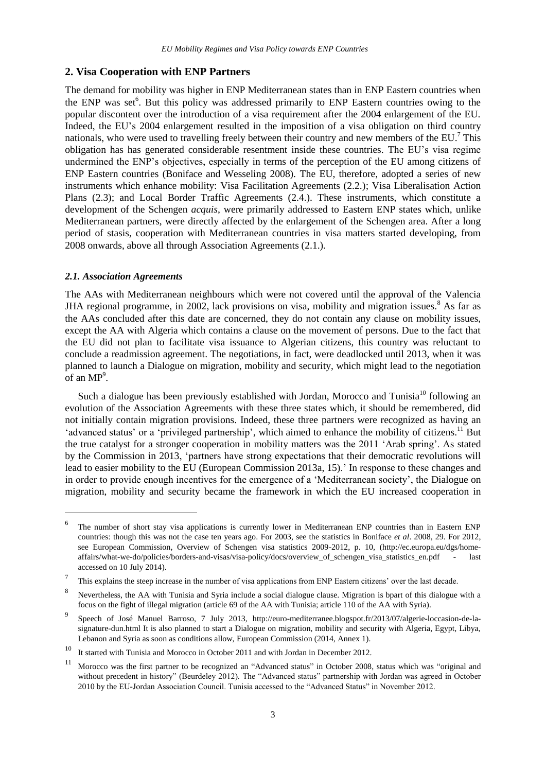### **2. Visa Cooperation with ENP Partners**

The demand for mobility was higher in ENP Mediterranean states than in ENP Eastern countries when the ENP was set<sup>6</sup>. But this policy was addressed primarily to ENP Eastern countries owing to the popular discontent over the introduction of a visa requirement after the 2004 enlargement of the EU. Indeed, the EU's 2004 enlargement resulted in the imposition of a visa obligation on third country nationals, who were used to travelling freely between their country and new members of the EU.<sup>7</sup> This obligation has has generated considerable resentment inside these countries. The EU's visa regime undermined the ENP's objectives, especially in terms of the perception of the EU among citizens of ENP Eastern countries (Boniface and Wesseling 2008). The EU, therefore, adopted a series of new instruments which enhance mobility: Visa Facilitation Agreements (2.2.); Visa Liberalisation Action Plans (2.3); and Local Border Traffic Agreements (2.4.). These instruments, which constitute a development of the Schengen *acquis*, were primarily addressed to Eastern ENP states which, unlike Mediterranean partners, were directly affected by the enlargement of the Schengen area. After a long period of stasis, cooperation with Mediterranean countries in visa matters started developing, from 2008 onwards, above all through Association Agreements (2.1.).

### *2.1. Association Agreements*

l

The AAs with Mediterranean neighbours which were not covered until the approval of the Valencia JHA regional programme, in 2002, lack provisions on visa, mobility and migration issues. $8$  As far as the AAs concluded after this date are concerned, they do not contain any clause on mobility issues, except the AA with Algeria which contains a clause on the movement of persons. Due to the fact that the EU did not plan to facilitate visa issuance to Algerian citizens, this country was reluctant to conclude a readmission agreement. The negotiations, in fact, were deadlocked until 2013, when it was planned to launch a Dialogue on migration, mobility and security, which might lead to the negotiation of an  $MP<sup>9</sup>$ .

Such a dialogue has been previously established with Jordan, Morocco and Tunisia<sup>10</sup> following an evolution of the Association Agreements with these three states which, it should be remembered, did not initially contain migration provisions. Indeed, these three partners were recognized as having an 'advanced status' or a 'privileged partnership', which aimed to enhance the mobility of citizens.<sup>11</sup> But the true catalyst for a stronger cooperation in mobility matters was the 2011 'Arab spring'. As stated by the Commission in 2013, 'partners have strong expectations that their democratic revolutions will lead to easier mobility to the EU (European Commission 2013a, 15).' In response to these changes and in order to provide enough incentives for the emergence of a 'Mediterranean society', the Dialogue on migration, mobility and security became the framework in which the EU increased cooperation in

<sup>6</sup> The number of short stay visa applications is currently lower in Mediterranean ENP countries than in Eastern ENP countries: though this was not the case ten years ago. For 2003, see the statistics in Boniface *et al*. 2008, 29. For 2012, see European Commission, Overview of Schengen visa statistics 2009-2012, p. 10, [\(http://ec.europa.eu/dgs/home](http://ec.europa.eu/dgs/home-affairs/what-we-do/policies/borders-and-visas/visa-policy/docs/overview_of_schengen_visa_statistics_en.pdf)[affairs/what-we-do/policies/borders-and-visas/visa-policy/docs/overview\\_of\\_schengen\\_visa\\_statistics\\_en.pdf](http://ec.europa.eu/dgs/home-affairs/what-we-do/policies/borders-and-visas/visa-policy/docs/overview_of_schengen_visa_statistics_en.pdf) - last accessed on 10 July 2014).

<sup>7</sup> This explains the steep increase in the number of visa applications from ENP Eastern citizens' over the last decade.

<sup>8</sup> Nevertheless, the AA with Tunisia and Syria include a social dialogue clause. Migration is bpart of this dialogue with a focus on the fight of illegal migration (article 69 of the AA with Tunisia; article 110 of the AA with Syria).

<sup>9</sup> Speech of José Manuel Barroso, 7 July 2013, [http://euro-mediterranee.blogspot.fr/2013/07/algerie-loccasion-de-la](http://euro-mediterranee.blogspot.fr/2013/07/algerie-loccasion-de-la-signature-dun.html)[signature-dun.html](http://euro-mediterranee.blogspot.fr/2013/07/algerie-loccasion-de-la-signature-dun.html) It is also planned to start a Dialogue on migration, mobility and security with Algeria, Egypt, Libya, Lebanon and Syria as soon as conditions allow, European Commission (2014, Annex 1).

<sup>&</sup>lt;sup>10</sup> It started with Tunisia and Morocco in October 2011 and with Jordan in December 2012.

<sup>&</sup>lt;sup>11</sup> Morocco was the first partner to be recognized an "Advanced status" in October 2008, status which was "original and without precedent in history" (Beurdeley 2012). The "Advanced status" partnership with Jordan was agreed in October 2010 by the EU-Jordan Association Council. Tunisia accessed to the "Advanced Status" in November 2012.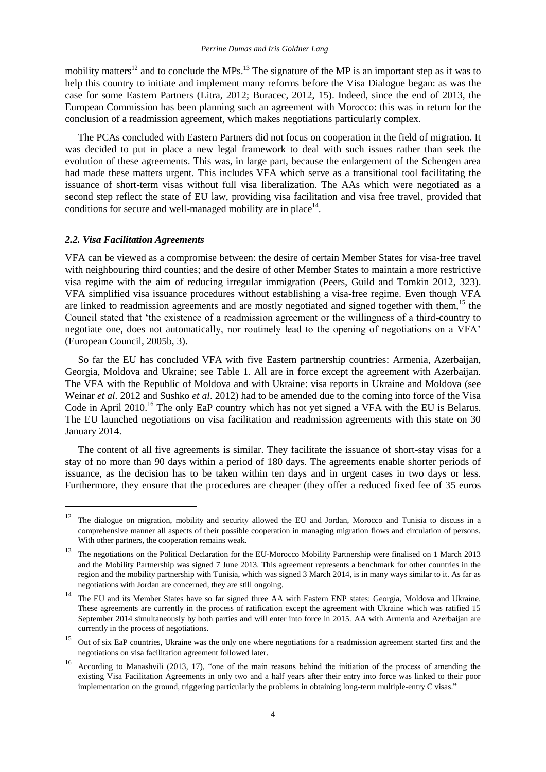mobility matters<sup>12</sup> and to conclude the MPs.<sup>13</sup> The signature of the MP is an important step as it was to help this country to initiate and implement many reforms before the Visa Dialogue began: as was the case for some Eastern Partners (Litra, 2012; Buracec, 2012, 15). Indeed, since the end of 2013, the European Commission has been planning such an agreement with Morocco: this was in return for the conclusion of a readmission agreement, which makes negotiations particularly complex.

The PCAs concluded with Eastern Partners did not focus on cooperation in the field of migration. It was decided to put in place a new legal framework to deal with such issues rather than seek the evolution of these agreements. This was, in large part, because the enlargement of the Schengen area had made these matters urgent. This includes VFA which serve as a transitional tool facilitating the issuance of short-term visas without full visa liberalization. The AAs which were negotiated as a second step reflect the state of EU law, providing visa facilitation and visa free travel, provided that conditions for secure and well-managed mobility are in place $14$ .

### *2.2. Visa Facilitation Agreements*

l

VFA can be viewed as a compromise between: the desire of certain Member States for visa-free travel with neighbouring third counties; and the desire of other Member States to maintain a more restrictive visa regime with the aim of reducing irregular immigration (Peers, Guild and Tomkin 2012, 323). VFA simplified visa issuance procedures without establishing a visa-free regime. Even though VFA are linked to readmission agreements and are mostly negotiated and signed together with them,<sup>15</sup> the Council stated that 'the existence of a readmission agreement or the willingness of a third-country to negotiate one, does not automatically, nor routinely lead to the opening of negotiations on a VFA' (European Council, 2005b, 3).

So far the EU has concluded VFA with five Eastern partnership countries: Armenia, Azerbaijan, Georgia, Moldova and Ukraine; see Table 1. All are in force except the agreement with Azerbaijan. The VFA with the Republic of Moldova and with Ukraine: visa reports in Ukraine and Moldova (see Weinar *et al*. 2012 and Sushko *et al*. 2012) had to be amended due to the coming into force of the Visa Code in April 2010.<sup>16</sup> The only EaP country which has not yet signed a VFA with the EU is Belarus. The EU launched negotiations on visa facilitation and readmission agreements with this state on 30 January 2014.

The content of all five agreements is similar. They facilitate the issuance of short-stay visas for a stay of no more than 90 days within a period of 180 days. The agreements enable shorter periods of issuance, as the decision has to be taken within ten days and in urgent cases in two days or less. Furthermore, they ensure that the procedures are cheaper (they offer a reduced fixed fee of 35 euros

<sup>&</sup>lt;sup>12</sup> The dialogue on migration, mobility and security allowed the EU and Jordan, Morocco and Tunisia to discuss in a comprehensive manner all aspects of their possible cooperation in managing migration flows and circulation of persons. With other partners, the cooperation remains weak.

<sup>&</sup>lt;sup>13</sup> The negotiations on the Political Declaration for the EU-Morocco Mobility Partnership were finalised on 1 March 2013 and the Mobility Partnership was signed 7 June 2013. This agreement represents a benchmark for other countries in the region and the mobility partnership with Tunisia, which was signed 3 March 2014, is in many ways similar to it. As far as negotiations with Jordan are concerned, they are still ongoing.

<sup>&</sup>lt;sup>14</sup> The EU and its Member States have so far signed three AA with Eastern ENP states: Georgia, Moldova and Ukraine. These agreements are currently in the process of ratification except the agreement with Ukraine which was ratified 15 September 2014 simultaneously by both parties and will enter into force in 2015. AA with Armenia and Azerbaijan are currently in the process of negotiations.

<sup>&</sup>lt;sup>15</sup> Out of six EaP countries, Ukraine was the only one where negotiations for a readmission agreement started first and the negotiations on visa facilitation agreement followed later.

<sup>16</sup> According to Manashvili (2013, 17), "one of the main reasons behind the initiation of the process of amending the existing Visa Facilitation Agreements in only two and a half years after their entry into force was linked to their poor implementation on the ground, triggering particularly the problems in obtaining long-term multiple-entry C visas."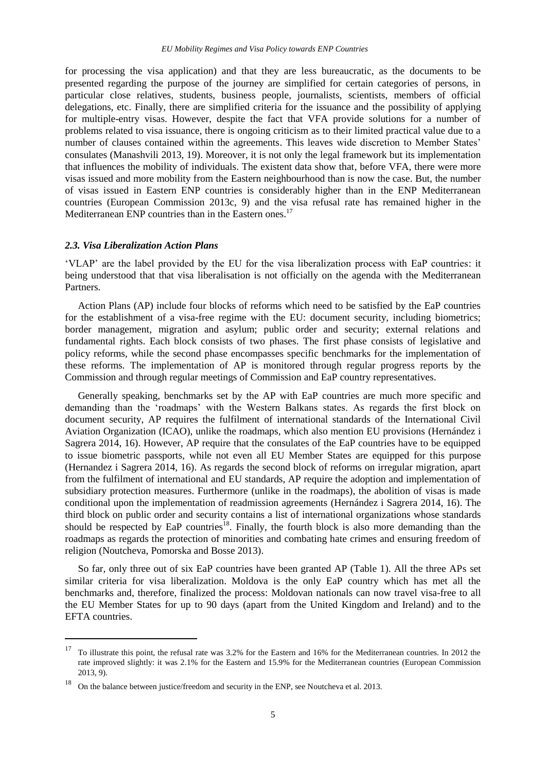for processing the visa application) and that they are less bureaucratic, as the documents to be presented regarding the purpose of the journey are simplified for certain categories of persons, in particular close relatives, students, business people, journalists, scientists, members of official delegations, etc. Finally, there are simplified criteria for the issuance and the possibility of applying for multiple-entry visas. However, despite the fact that VFA provide solutions for a number of problems related to visa issuance, there is ongoing criticism as to their limited practical value due to a number of clauses contained within the agreements. This leaves wide discretion to Member States' consulates (Manashvili 2013, 19). Moreover, it is not only the legal framework but its implementation that influences the mobility of individuals. The existent data show that, before VFA, there were more visas issued and more mobility from the Eastern neighbourhood than is now the case. But, the number of visas issued in Eastern ENP countries is considerably higher than in the ENP Mediterranean countries (European Commission 2013c, 9) and the visa refusal rate has remained higher in the Mediterranean ENP countries than in the Eastern ones.<sup>17</sup>

### *2.3. Visa Liberalization Action Plans*

l

'VLAP' are the label provided by the EU for the visa liberalization process with EaP countries: it being understood that that visa liberalisation is not officially on the agenda with the Mediterranean Partners.

Action Plans (AP) include four blocks of reforms which need to be satisfied by the EaP countries for the establishment of a visa-free regime with the EU: document security, including biometrics; border management, migration and asylum; public order and security; external relations and fundamental rights. Each block consists of two phases. The first phase consists of legislative and policy reforms, while the second phase encompasses specific benchmarks for the implementation of these reforms. The implementation of AP is monitored through regular progress reports by the Commission and through regular meetings of Commission and EaP country representatives.

Generally speaking, benchmarks set by the AP with EaP countries are much more specific and demanding than the 'roadmaps' with the Western Balkans states. As regards the first block on document security, AP requires the fulfilment of international standards of the International Civil Aviation Organization (ICAO), unlike the roadmaps, which also mention EU provisions (Hernández i Sagrera 2014, 16). However, AP require that the consulates of the EaP countries have to be equipped to issue biometric passports, while not even all EU Member States are equipped for this purpose (Hernandez i Sagrera 2014, 16). As regards the second block of reforms on irregular migration, apart from the fulfilment of international and EU standards, AP require the adoption and implementation of subsidiary protection measures. Furthermore (unlike in the roadmaps), the abolition of visas is made conditional upon the implementation of readmission agreements (Hernández i Sagrera 2014, 16). The third block on public order and security contains a list of international organizations whose standards should be respected by EaP countries<sup>18</sup>. Finally, the fourth block is also more demanding than the roadmaps as regards the protection of minorities and combating hate crimes and ensuring freedom of religion (Noutcheva, Pomorska and Bosse 2013).

So far, only three out of six EaP countries have been granted AP (Table 1). All the three APs set similar criteria for visa liberalization. Moldova is the only EaP country which has met all the benchmarks and, therefore, finalized the process: Moldovan nationals can now travel visa-free to all the EU Member States for up to 90 days (apart from the United Kingdom and Ireland) and to the EFTA countries.

<sup>&</sup>lt;sup>17</sup> To illustrate this point, the refusal rate was 3.2% for the Eastern and 16% for the Mediterranean countries. In 2012 the rate improved slightly: it was 2.1% for the Eastern and 15.9% for the Mediterranean countries (European Commission 2013, 9).

<sup>&</sup>lt;sup>18</sup> On the balance between justice/freedom and security in the ENP, see Noutcheva et al. 2013.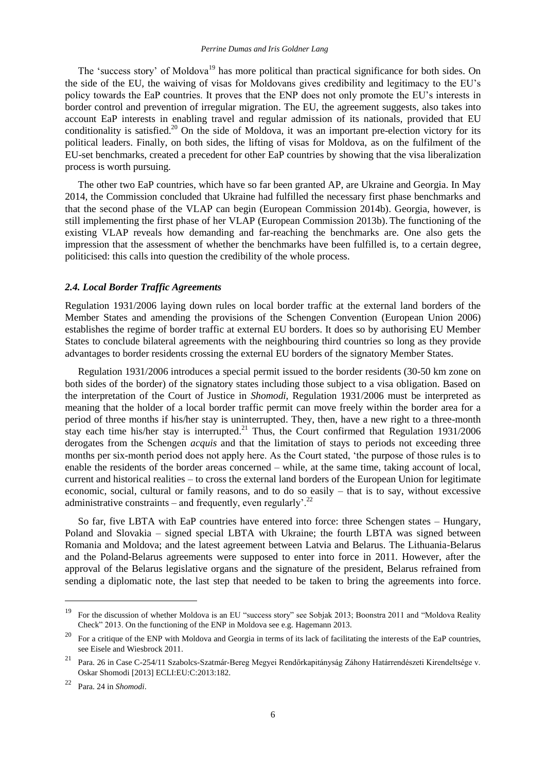The 'success story' of Moldova<sup>19</sup> has more political than practical significance for both sides. On the side of the EU, the waiving of visas for Moldovans gives credibility and legitimacy to the EU's policy towards the EaP countries. It proves that the ENP does not only promote the EU's interests in border control and prevention of irregular migration. The EU, the agreement suggests, also takes into account EaP interests in enabling travel and regular admission of its nationals, provided that EU conditionality is satisfied.<sup>20</sup> On the side of Moldova, it was an important pre-election victory for its political leaders. Finally, on both sides, the lifting of visas for Moldova, as on the fulfilment of the EU-set benchmarks, created a precedent for other EaP countries by showing that the visa liberalization process is worth pursuing.

The other two EaP countries, which have so far been granted AP, are Ukraine and Georgia. In May 2014, the Commission concluded that Ukraine had fulfilled the necessary first phase benchmarks and that the second phase of the VLAP can begin (European Commission 2014b). Georgia, however, is still implementing the first phase of her VLAP (European Commission 2013b). The functioning of the existing VLAP reveals how demanding and far-reaching the benchmarks are. One also gets the impression that the assessment of whether the benchmarks have been fulfilled is, to a certain degree, politicised: this calls into question the credibility of the whole process.

### *2.4. Local Border Traffic Agreements*

Regulation 1931/2006 laying down rules on local border traffic at the external land borders of the Member States and amending the provisions of the Schengen Convention (European Union 2006) establishes the regime of border traffic at external EU borders. It does so by authorising EU Member States to conclude bilateral agreements with the neighbouring third countries so long as they provide advantages to border residents crossing the external EU borders of the signatory Member States.

Regulation 1931/2006 introduces a special permit issued to the border residents (30-50 km zone on both sides of the border) of the signatory states including those subject to a visa obligation. Based on the interpretation of the Court of Justice in *Shomodi*, Regulation 1931/2006 must be interpreted as meaning that the holder of a local border traffic permit can move freely within the border area for a period of three months if his/her stay is uninterrupted. They, then, have a new right to a three-month stay each time his/her stay is interrupted.<sup>21</sup> Thus, the Court confirmed that Regulation  $1931/2006$ derogates from the Schengen *acquis* and that the limitation of stays to periods not exceeding three months per six-month period does not apply here. As the Court stated, 'the purpose of those rules is to enable the residents of the border areas concerned – while, at the same time, taking account of local, current and historical realities – to cross the external land borders of the European Union for legitimate economic, social, cultural or family reasons, and to do so easily – that is to say, without excessive administrative constraints – and frequently, even regularly'.<sup>22</sup>

So far, five LBTA with EaP countries have entered into force: three Schengen states – Hungary, Poland and Slovakia – signed special LBTA with Ukraine; the fourth LBTA was signed between Romania and Moldova; and the latest agreement between Latvia and Belarus. The Lithuania-Belarus and the Poland-Belarus agreements were supposed to enter into force in 2011. However, after the approval of the Belarus legislative organs and the signature of the president, Belarus refrained from sending a diplomatic note, the last step that needed to be taken to bring the agreements into force.

l

<sup>&</sup>lt;sup>19</sup> For the discussion of whether Moldova is an EU "success story" see Sobjak 2013; Boonstra 2011 and "Moldova Reality Check" 2013. On the functioning of the ENP in Moldova see e.g. Hagemann 2013.

<sup>20</sup> For a critique of the ENP with Moldova and Georgia in terms of its lack of facilitating the interests of the EaP countries, see Eisele and Wiesbrock 2011.

<sup>21</sup> Para. 26 in Case C-254/11 Szabolcs-Szatmár-Bereg Megyei Rendőrkapitányság Záhony Határrendészeti Kirendeltsége v. Oskar Shomodi [2013] ECLI:EU:C:2013:182.

<sup>22</sup> Para. 24 in *Shomodi*.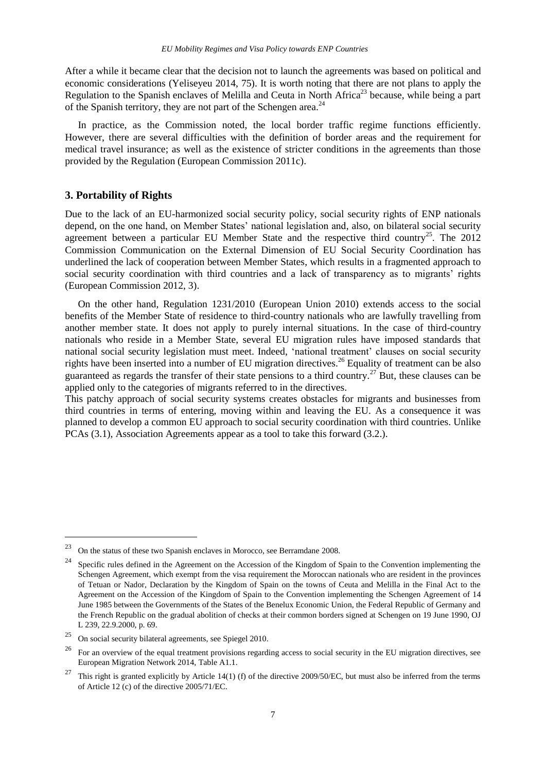After a while it became clear that the decision not to launch the agreements was based on political and economic considerations (Yeliseyeu 2014, 75). It is worth noting that there are not plans to apply the Regulation to the Spanish enclaves of Melilla and Ceuta in North Africa<sup>23</sup> because, while being a part of the Spanish territory, they are not part of the Schengen area.<sup>24</sup>

In practice, as the Commission noted, the local border traffic regime functions efficiently. However, there are several difficulties with the definition of border areas and the requirement for medical travel insurance; as well as the existence of stricter conditions in the agreements than those provided by the Regulation (European Commission 2011c).

### **3. Portability of Rights**

l

Due to the lack of an EU-harmonized social security policy, social security rights of ENP nationals depend, on the one hand, on Member States' national legislation and, also, on bilateral social security agreement between a particular EU Member State and the respective third country<sup>25</sup>. The 2012 Commission Communication on the External Dimension of EU Social Security Coordination has underlined the lack of cooperation between Member States, which results in a fragmented approach to social security coordination with third countries and a lack of transparency as to migrants' rights (European Commission 2012, 3).

On the other hand, Regulation 1231/2010 (European Union 2010) extends access to the social benefits of the Member State of residence to third-country nationals who are lawfully travelling from another member state. It does not apply to purely internal situations. In the case of third-country nationals who reside in a Member State, several EU migration rules have imposed standards that national social security legislation must meet. Indeed, 'national treatment' clauses on social security rights have been inserted into a number of EU migration directives.<sup>26</sup> Equality of treatment can be also guaranteed as regards the transfer of their state pensions to a third country.<sup>27</sup> But, these clauses can be applied only to the categories of migrants referred to in the directives.

This patchy approach of social security systems creates obstacles for migrants and businesses from third countries in terms of entering, moving within and leaving the EU. As a consequence it was planned to develop a common EU approach to social security coordination with third countries. Unlike PCAs (3.1), Association Agreements appear as a tool to take this forward (3.2.).

<sup>23</sup> On the status of these two Spanish enclaves in Morocco, see Berramdane 2008.

<sup>24</sup> Specific rules defined in the Agreement on the Accession of the Kingdom of Spain to the Convention implementing the Schengen Agreement, which exempt from the visa requirement the Moroccan nationals who are resident in the provinces of Tetuan or Nador, Declaration by the Kingdom of Spain on the towns of Ceuta and Melilla in the Final Act to the Agreement on the Accession of the Kingdom of Spain to the Convention implementing the Schengen Agreement of 14 June 1985 between the Governments of the States of the Benelux Economic Union, the Federal Republic of Germany and the French Republic on the gradual abolition of checks at their common borders signed at Schengen on 19 June 1990, OJ L 239, 22.9.2000, p. 69.

 $25$  On social security bilateral agreements, see Spiegel 2010.

 $26$  For an overview of the equal treatment provisions regarding access to social security in the EU migration directives, see European Migration Network 2014, Table A1.1.

<sup>27</sup> This right is granted explicitly by Article 14(1) (f) of the directive 2009/50/EC, but must also be inferred from the terms of Article 12 (c) of the directive 2005/71/EC.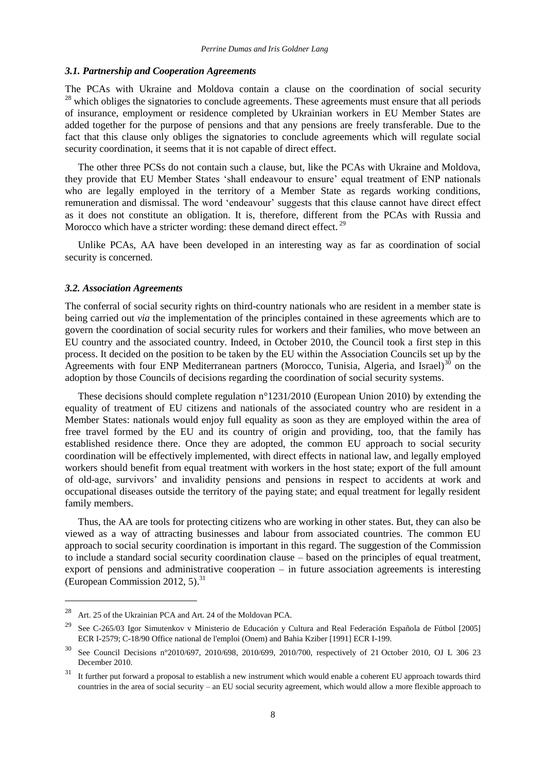### *3.1. Partnership and Cooperation Agreements*

The PCAs with Ukraine and Moldova contain a clause on the coordination of social security <sup>28</sup> which obliges the signatories to conclude agreements. These agreements must ensure that all periods of insurance, employment or residence completed by Ukrainian workers in EU Member States are added together for the purpose of pensions and that any pensions are freely transferable. Due to the fact that this clause only obliges the signatories to conclude agreements which will regulate social security coordination, it seems that it is not capable of direct effect.

The other three PCSs do not contain such a clause, but, like the PCAs with Ukraine and Moldova, they provide that EU Member States 'shall endeavour to ensure' equal treatment of ENP nationals who are legally employed in the territory of a Member State as regards working conditions, remuneration and dismissal. The word 'endeavour' suggests that this clause cannot have direct effect as it does not constitute an obligation. It is, therefore, different from the PCAs with Russia and Morocco which have a stricter wording: these demand direct effect.<sup>29</sup>

Unlike PCAs, AA have been developed in an interesting way as far as coordination of social security is concerned.

### *3.2. Association Agreements*

The conferral of social security rights on third-country nationals who are resident in a member state is being carried out *via* the implementation of the principles contained in these agreements which are to govern the coordination of social security rules for workers and their families, who move between an EU country and the associated country. Indeed, in October 2010, the Council took a first step in this process. It decided on the position to be taken by the EU within the Association Councils set up by the Agreements with four ENP Mediterranean partners (Morocco, Tunisia, Algeria, and Israel) $3\overline{0}$  on the adoption by those Councils of decisions regarding the coordination of social security systems.

These decisions should complete regulation n°1231/2010 (European Union 2010) by extending the equality of treatment of EU citizens and nationals of the associated country who are resident in a Member States: nationals would enjoy full equality as soon as they are employed within the area of free travel formed by the EU and its country of origin and providing, too, that the family has established residence there. Once they are adopted, the common EU approach to social security coordination will be effectively implemented, with direct effects in national law, and legally employed workers should benefit from equal treatment with workers in the host state; export of the full amount of old-age, survivors' and invalidity pensions and pensions in respect to accidents at work and occupational diseases outside the territory of the paying state; and equal treatment for legally resident family members.

Thus, the AA are tools for protecting citizens who are working in other states. But, they can also be viewed as a way of attracting businesses and labour from associated countries. The common EU approach to social security coordination is important in this regard. The suggestion of the Commission to include a standard social security coordination clause – based on the principles of equal treatment, export of pensions and administrative cooperation – in future association agreements is interesting (European Commission 2012, 5). 31

l

<sup>28</sup> Art. 25 of the Ukrainian PCA and Art. 24 of the Moldovan PCA.

<sup>&</sup>lt;sup>29</sup> See C-265/03 Igor Simutenkov v Ministerio de Educación y Cultura and Real Federación Española de Fútbol [2005] ECR I-2579; C-18/90 Office national de l'emploi (Onem) and Bahia Kziber [1991] ECR I-199.

<sup>30</sup> See Council Decisions n°2010/697, 2010/698, 2010/699, 2010/700, respectively of 21 October 2010, OJ L 306 23 December 2010.

<sup>&</sup>lt;sup>31</sup> It further put forward a proposal to establish a new instrument which would enable a coherent EU approach towards third countries in the area of social security – an EU social security agreement, which would allow a more flexible approach to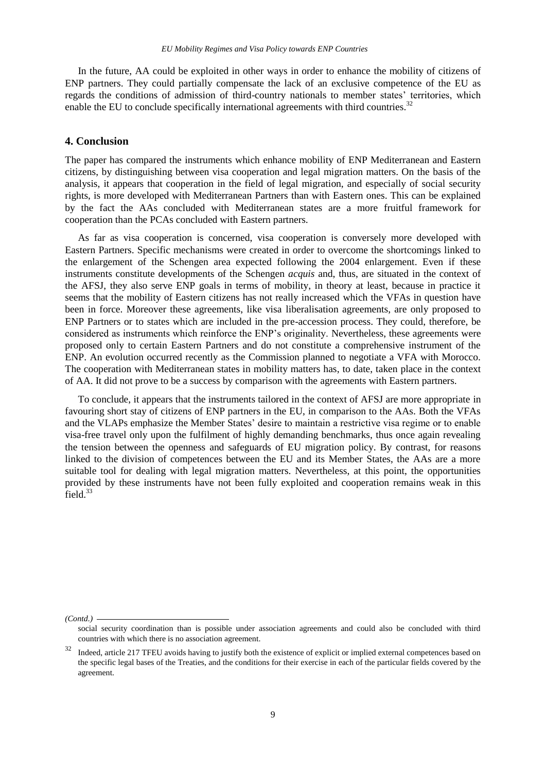In the future, AA could be exploited in other ways in order to enhance the mobility of citizens of ENP partners. They could partially compensate the lack of an exclusive competence of the EU as regards the conditions of admission of third-country nationals to member states' territories, which enable the EU to conclude specifically international agreements with third countries.<sup>32</sup>

### **4. Conclusion**

The paper has compared the instruments which enhance mobility of ENP Mediterranean and Eastern citizens, by distinguishing between visa cooperation and legal migration matters. On the basis of the analysis, it appears that cooperation in the field of legal migration, and especially of social security rights, is more developed with Mediterranean Partners than with Eastern ones. This can be explained by the fact the AAs concluded with Mediterranean states are a more fruitful framework for cooperation than the PCAs concluded with Eastern partners.

As far as visa cooperation is concerned, visa cooperation is conversely more developed with Eastern Partners. Specific mechanisms were created in order to overcome the shortcomings linked to the enlargement of the Schengen area expected following the 2004 enlargement. Even if these instruments constitute developments of the Schengen *acquis* and, thus, are situated in the context of the AFSJ, they also serve ENP goals in terms of mobility, in theory at least, because in practice it seems that the mobility of Eastern citizens has not really increased which the VFAs in question have been in force. Moreover these agreements, like visa liberalisation agreements, are only proposed to ENP Partners or to states which are included in the pre-accession process. They could, therefore, be considered as instruments which reinforce the ENP's originality. Nevertheless, these agreements were proposed only to certain Eastern Partners and do not constitute a comprehensive instrument of the ENP. An evolution occurred recently as the Commission planned to negotiate a VFA with Morocco. The cooperation with Mediterranean states in mobility matters has, to date, taken place in the context of AA. It did not prove to be a success by comparison with the agreements with Eastern partners.

To conclude, it appears that the instruments tailored in the context of AFSJ are more appropriate in favouring short stay of citizens of ENP partners in the EU, in comparison to the AAs. Both the VFAs and the VLAPs emphasize the Member States' desire to maintain a restrictive visa regime or to enable visa-free travel only upon the fulfilment of highly demanding benchmarks, thus once again revealing the tension between the openness and safeguards of EU migration policy. By contrast, for reasons linked to the division of competences between the EU and its Member States, the AAs are a more suitable tool for dealing with legal migration matters. Nevertheless, at this point, the opportunities provided by these instruments have not been fully exploited and cooperation remains weak in this field.<sup>33</sup>

*(Contd.)* 

social security coordination than is possible under association agreements and could also be concluded with third countries with which there is no association agreement.

<sup>&</sup>lt;sup>32</sup> Indeed, article 217 TFEU avoids having to justify both the existence of explicit or implied external competences based on the specific legal bases of the Treaties, and the conditions for their exercise in each of the particular fields covered by the agreement.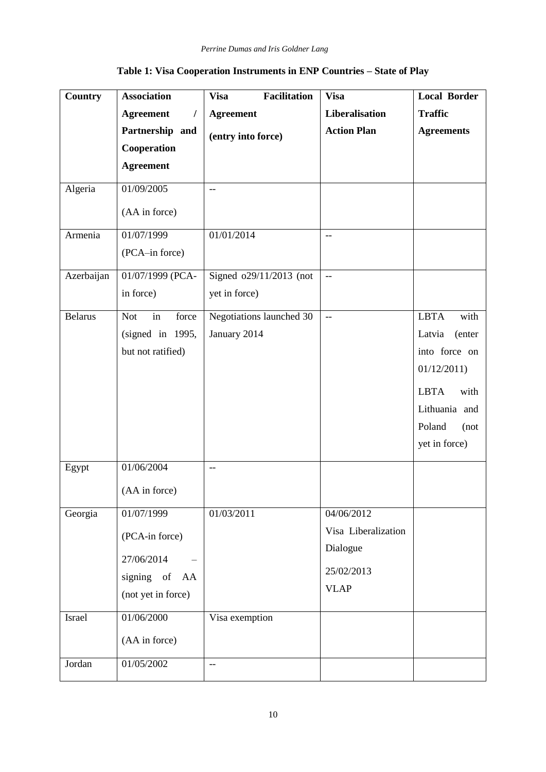|  | Table 1: Visa Cooperation Instruments in ENP Countries - State of Play |  |  |
|--|------------------------------------------------------------------------|--|--|
|  |                                                                        |  |  |

| <b>Country</b> | <b>Association</b>           | <b>Facilitation</b><br><b>Visa</b><br><b>Visa</b> |                          | <b>Local Border</b> |  |
|----------------|------------------------------|---------------------------------------------------|--------------------------|---------------------|--|
|                | <b>Agreement</b><br>$\prime$ | <b>Agreement</b>                                  | Liberalisation           | <b>Traffic</b>      |  |
|                | Partnership and              | (entry into force)                                | <b>Action Plan</b>       | <b>Agreements</b>   |  |
|                | Cooperation                  |                                                   |                          |                     |  |
|                | <b>Agreement</b>             |                                                   |                          |                     |  |
| Algeria        | 01/09/2005                   | $-$                                               |                          |                     |  |
|                | (AA in force)                |                                                   |                          |                     |  |
| Armenia        | 01/07/1999                   | 01/01/2014                                        | --                       |                     |  |
|                | (PCA-in force)               |                                                   |                          |                     |  |
| Azerbaijan     | 01/07/1999 (PCA-             | Signed o29/11/2013 (not                           | $\overline{\phantom{a}}$ |                     |  |
|                | in force)                    | yet in force)                                     |                          |                     |  |
| <b>Belarus</b> | in<br><b>Not</b><br>force    | Negotiations launched 30                          | $-$                      | <b>LBTA</b><br>with |  |
|                | (signed in 1995,             | January 2014                                      |                          | Latvia<br>(enter    |  |
|                | but not ratified)            |                                                   |                          | into force on       |  |
|                |                              |                                                   |                          | 01/12/2011          |  |
|                |                              |                                                   |                          | <b>LBTA</b><br>with |  |
|                |                              |                                                   |                          | Lithuania and       |  |
|                |                              |                                                   |                          | Poland<br>(not)     |  |
|                |                              |                                                   |                          | yet in force)       |  |
| Egypt          | 01/06/2004                   | $\overline{\phantom{m}}$                          |                          |                     |  |
|                | (AA in force)                |                                                   |                          |                     |  |
| Georgia        | 01/07/1999                   | 01/03/2011                                        | 04/06/2012               |                     |  |
|                | (PCA-in force)               |                                                   | Visa Liberalization      |                     |  |
|                | 27/06/2014                   |                                                   | Dialogue                 |                     |  |
|                | signing of AA                |                                                   | 25/02/2013               |                     |  |
|                | (not yet in force)           |                                                   | <b>VLAP</b>              |                     |  |
| Israel         | 01/06/2000                   | Visa exemption                                    |                          |                     |  |
|                | (AA in force)                |                                                   |                          |                     |  |
| Jordan         | 01/05/2002                   | $\overline{\phantom{m}}$                          |                          |                     |  |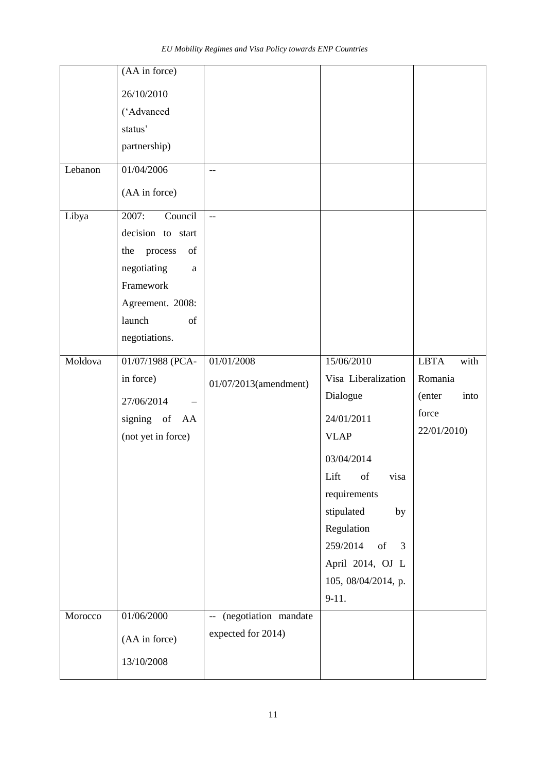| Lebanon | (AA in force)<br>26/10/2010<br>('Advanced<br>status'<br>partnership)<br>01/04/2006<br>(AA in force)                                                 | $-$                                                                    |                                                                                                                                                                                                                                                                                                                                               |                                                                          |
|---------|-----------------------------------------------------------------------------------------------------------------------------------------------------|------------------------------------------------------------------------|-----------------------------------------------------------------------------------------------------------------------------------------------------------------------------------------------------------------------------------------------------------------------------------------------------------------------------------------------|--------------------------------------------------------------------------|
| Libya   | 2007:<br>Council<br>decision to start<br>process<br>of<br>the<br>negotiating<br>a<br>Framework<br>Agreement. 2008:<br>launch<br>of<br>negotiations. | $\overline{\phantom{a}}$                                               |                                                                                                                                                                                                                                                                                                                                               |                                                                          |
| Moldova | 01/07/1988 (PCA-<br>in force)<br>27/06/2014<br>signing of AA<br>(not yet in force)                                                                  | 01/01/2008<br>01/07/2013(amendment)                                    | 15/06/2010<br>Visa Liberalization<br>Dialogue<br>24/01/2011<br><b>VLAP</b><br>03/04/2014<br>Lift<br>of<br>visa<br>requirements<br>stipulated<br>by<br>Regulation<br>259/2014<br>$% \left( \left( \mathcal{A},\mathcal{A}\right) \right) =\left( \mathcal{A},\mathcal{A}\right)$ of<br>3<br>April 2014, OJ L<br>105, 08/04/2014, p.<br>$9-11.$ | <b>LBTA</b><br>with<br>Romania<br>(enter<br>into<br>force<br>22/01/2010) |
| Morocco | 01/06/2000<br>(AA in force)<br>13/10/2008                                                                                                           | (negotiation mandate<br>$\overline{\phantom{a}}$<br>expected for 2014) |                                                                                                                                                                                                                                                                                                                                               |                                                                          |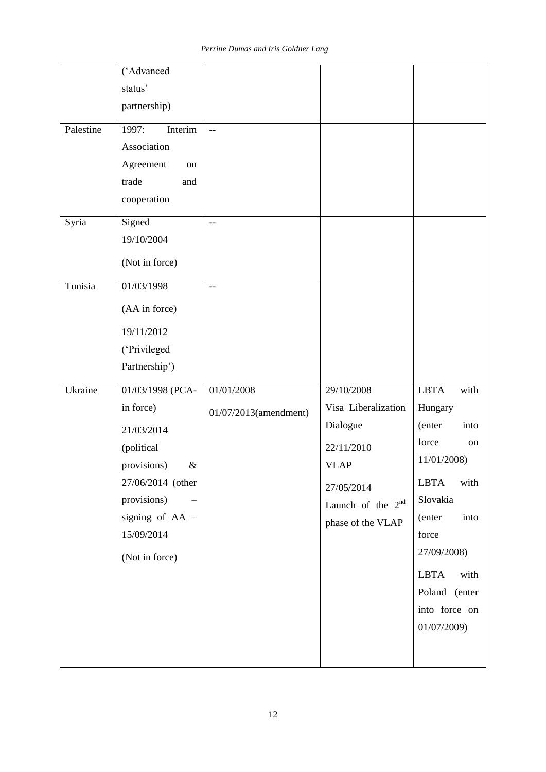| Palestine | ('Advanced<br>status'<br>partnership)<br>Interim<br>1997:<br>Association<br>Agreement<br>on<br>trade<br>and<br>cooperation                                              | $-$                                 |                                                                                                                                                |                                                                                                                                                                                                                                                |
|-----------|-------------------------------------------------------------------------------------------------------------------------------------------------------------------------|-------------------------------------|------------------------------------------------------------------------------------------------------------------------------------------------|------------------------------------------------------------------------------------------------------------------------------------------------------------------------------------------------------------------------------------------------|
| Syria     | Signed<br>19/10/2004<br>(Not in force)                                                                                                                                  | $-$                                 |                                                                                                                                                |                                                                                                                                                                                                                                                |
| Tunisia   | 01/03/1998<br>(AA in force)<br>19/11/2012<br>('Privileged<br>Partnership')                                                                                              | $-$                                 |                                                                                                                                                |                                                                                                                                                                                                                                                |
| Ukraine   | 01/03/1998 (PCA-<br>in force)<br>21/03/2014<br>(political<br>provisions)<br>$\&$<br>27/06/2014 (other<br>provisions)<br>signing of AA -<br>15/09/2014<br>(Not in force) | 01/01/2008<br>01/07/2013(amendment) | 29/10/2008<br>Visa Liberalization<br>Dialogue<br>22/11/2010<br><b>VLAP</b><br>27/05/2014<br>Launch of the 2 <sup>nd</sup><br>phase of the VLAP | <b>LBTA</b><br>with<br>Hungary<br>(enter<br>into<br>force<br><sub>on</sub><br>11/01/2008)<br>with<br><b>LBTA</b><br>Slovakia<br>(enter<br>into<br>force<br>27/09/2008)<br><b>LBTA</b><br>with<br>Poland (enter<br>into force on<br>01/07/2009) |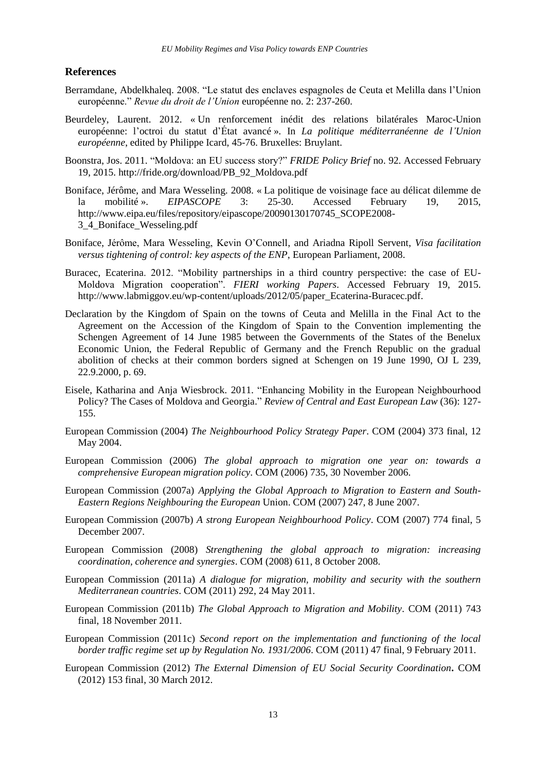### **References**

- Berramdane, Abdelkhaleq. 2008. "Le statut des enclaves espagnoles de Ceuta et Melilla dans l'Union européenne." *Revue du droit de l'Union* européenne no. 2: 237-260.
- Beurdeley, Laurent. 2012. « Un renforcement inédit des relations bilatérales Maroc-Union européenne: l'octroi du statut d'État avancé ». In *La politique méditerranéenne de l'Union européenne*, edited by Philippe Icard, 45-76. Bruxelles: Bruylant.
- Boonstra, Jos. 2011. "Moldova: an EU success story?" *FRIDE Policy Brief* no. 92. Accessed February 19, 2015. [http://fride.org/download/PB\\_92\\_Moldova.pdf](http://fride.org/download/PB_92_Moldova.pdf)
- Boniface, Jérôme, and Mara Wesseling. 2008. « La politique de voisinage face au délicat dilemme de la mobilité ». *EIPASCOPE* 3: 25-30. Accessed February 19, 2015, [http://www.eipa.eu/files/repository/eipascope/20090130170745\\_SCOPE2008-](http://www.eipa.eu/files/repository/eipascope/20090130170745_SCOPE2008-3_4_Boniface_Wesseling.pdf) [3\\_4\\_Boniface\\_Wesseling.pdf](http://www.eipa.eu/files/repository/eipascope/20090130170745_SCOPE2008-3_4_Boniface_Wesseling.pdf)
- Boniface, Jérôme, Mara Wesseling, Kevin O'Connell, and Ariadna Ripoll Servent, *Visa facilitation versus tightening of control: key aspects of the ENP*, European Parliament, 2008.
- Buracec, Ecaterina. 2012. "Mobility partnerships in a third country perspective: the case of EU-Moldova Migration cooperation". *FIERI working Papers*. Accessed February 19, 2015. [http://www.labmiggov.eu/wp-content/uploads/2012/05/paper\\_Ecaterina-Buracec.pdf.](http://www.labmiggov.eu/wp-content/uploads/2012/05/paper_Ecaterina-Buracec.pdf)
- Declaration by the Kingdom of Spain on the towns of Ceuta and Melilla in the Final Act to the Agreement on the Accession of the Kingdom of Spain to the Convention implementing the Schengen Agreement of 14 June 1985 between the Governments of the States of the Benelux Economic Union, the Federal Republic of Germany and the French Republic on the gradual abolition of checks at their common borders signed at Schengen on 19 June 1990, OJ L 239, 22.9.2000, p. 69.
- Eisele, Katharina and Anja Wiesbrock. 2011. "Enhancing Mobility in the European Neighbourhood Policy? The Cases of Moldova and Georgia." *Review of Central and East European Law* (36): 127- 155.
- European Commission (2004) *The Neighbourhood Policy Strategy Paper*. COM (2004) 373 final, 12 May 2004.
- European Commission (2006) *The global approach to migration one year on: towards a comprehensive European migration policy*. COM (2006) 735, 30 November 2006.
- European Commission (2007a) *Applying the Global Approach to Migration to Eastern and South-Eastern Regions Neighbouring the European* Union. COM (2007) 247, 8 June 2007.
- European Commission (2007b) *A strong European Neighbourhood Policy*. COM (2007) 774 final, 5 December 2007.
- European Commission (2008) *Strengthening the global approach to migration: increasing coordination, coherence and synergies*. COM (2008) 611, 8 October 2008.
- European Commission (2011a) *A dialogue for migration, mobility and security with the southern Mediterranean countries*. COM (2011) 292, 24 May 2011.
- European Commission (2011b) *The Global Approach to Migration and Mobility*. COM (2011) 743 final, 18 November 2011.
- European Commission (2011c) *Second report on the implementation and functioning of the local border traffic regime set up by Regulation No. 1931/2006*. COM (2011) 47 final, 9 February 2011.
- European Commission (2012) *The External Dimension of EU Social Security Coordination***.** COM (2012) 153 final, 30 March 2012.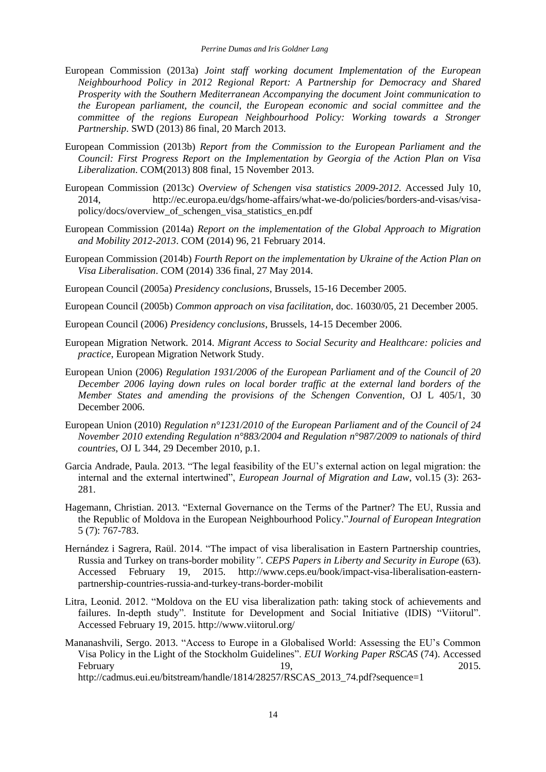- European Commission (2013a) *Joint staff working document Implementation of the European Neighbourhood Policy in 2012 Regional Report: A Partnership for Democracy and Shared Prosperity with the Southern Mediterranean Accompanying the document Joint communication to the European parliament, the council, the European economic and social committee and the committee of the regions European Neighbourhood Policy: Working towards a Stronger Partnership*. SWD (2013) 86 final, 20 March 2013.
- European Commission (2013b) *Report from the Commission to the European Parliament and the Council: First Progress Report on the Implementation by Georgia of the Action Plan on Visa Liberalization*. COM(2013) 808 final, 15 November 2013.
- European Commission (2013c) *Overview of Schengen visa statistics 2009-2012*. Accessed July 10, 2014, [http://ec.europa.eu/dgs/home-affairs/what-we-do/policies/borders-and-visas/visa](http://ec.europa.eu/dgs/home-affairs/what-we-do/policies/borders-and-visas/visa-policy/docs/overview_of_schengen_visa_statistics_en.pdf)[policy/docs/overview\\_of\\_schengen\\_visa\\_statistics\\_en.pdf](http://ec.europa.eu/dgs/home-affairs/what-we-do/policies/borders-and-visas/visa-policy/docs/overview_of_schengen_visa_statistics_en.pdf)
- European Commission (2014a) *Report on the implementation of the Global Approach to Migration and Mobility 2012-2013*. COM (2014) 96, 21 February 2014.
- European Commission (2014b) *Fourth Report on the implementation by Ukraine of the Action Plan on Visa Liberalisation*. COM (2014) 336 final, 27 May 2014.
- European Council (2005a) *Presidency conclusions*, Brussels, 15-16 December 2005.
- European Council (2005b) *Common approach on visa facilitation*, doc. 16030/05, 21 December 2005.
- European Council (2006) *Presidency conclusions*, Brussels, 14-15 December 2006.
- European Migration Network. 2014. *Migrant Access to Social Security and Healthcare: policies and practice*, European Migration Network Study.
- European Union (2006) *Regulation 1931/2006 of the European Parliament and of the Council of 20 December 2006 laying down rules on local border traffic at the external land borders of the Member States and amending the provisions of the Schengen Convention*, OJ L 405/1, 30 December 2006.
- European Union (2010) *Regulation n°1231/2010 of the European Parliament and of the Council of 24 November 2010 extending Regulation n°883/2004 and Regulation n°987/2009 to nationals of third countries*, OJ L 344, 29 December 2010, p.1.
- Garcia Andrade, Paula. 2013. "The legal feasibility of the EU's external action on legal migration: the internal and the external intertwined", *European Journal of Migration and Law*, vol.15 (3): 263- 281.
- Hagemann, Christian. 2013. "External Governance on the Terms of the Partner? The EU, Russia and the Republic of Moldova in the European Neighbourhood Policy."*Journal of European Integration* 5 (7): 767-783.
- Hernández i Sagrera, Raül. 2014. "The impact of visa liberalisation in Eastern Partnership countries, Russia and Turkey on trans-border mobility*"*. *CEPS Papers in Liberty and Security in Europe* (63). Accessed February 19, 2015. [http://www.ceps.eu/book/impact-visa-liberalisation-eastern](http://www.ceps.eu/book/impact-visa-liberalisation-eastern-partnership-countries-russia-and-turkey-trans-border-mobilit)[partnership-countries-russia-and-turkey-trans-border-mobilit](http://www.ceps.eu/book/impact-visa-liberalisation-eastern-partnership-countries-russia-and-turkey-trans-border-mobilit)
- Litra, Leonid. 2012. "Moldova on the EU visa liberalization path: taking stock of achievements and failures. In-depth study". Institute for Development and Social Initiative (IDIS) "Viitorul". Accessed February 19, 2015.<http://www.viitorul.org/>
- Mananashvili, Sergo. 2013. "Access to Europe in a Globalised World: Assessing the EU's Common Visa Policy in the Light of the Stockholm Guidelines". *EUI Working Paper RSCAS* (74). Accessed February 2015. [http://cadmus.eui.eu/bitstream/handle/1814/28257/RSCAS\\_2013\\_74.pdf?sequence=1](http://cadmus.eui.eu/bitstream/handle/1814/28257/RSCAS_2013_74.pdf?sequence=1)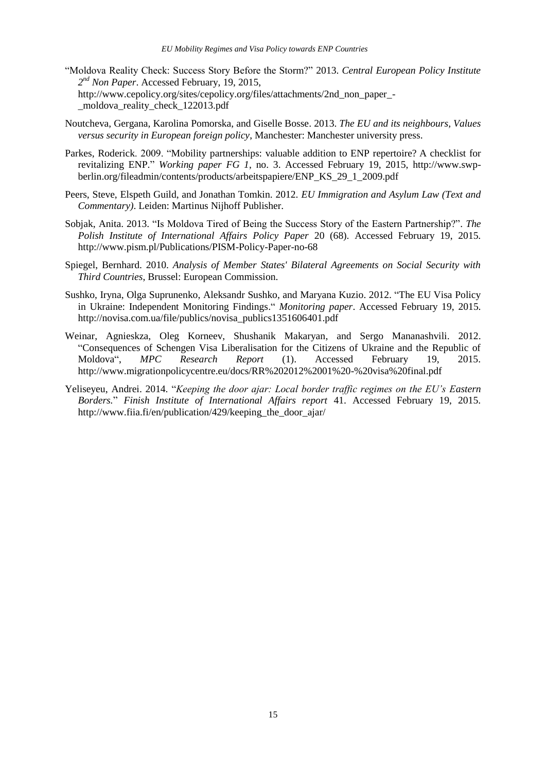- "Moldova Reality Check: Success Story Before the Storm?" 2013. *Central European Policy Institute 2 nd Non Paper*. Accessed February, 19, 2015, [http://www.cepolicy.org/sites/cepolicy.org/files/attachments/2nd\\_non\\_paper\\_-](http://www.cepolicy.org/sites/cepolicy.org/files/attachments/2nd_non_paper_-_moldova_reality_check_122013.pdf) [\\_moldova\\_reality\\_check\\_122013.pdf](http://www.cepolicy.org/sites/cepolicy.org/files/attachments/2nd_non_paper_-_moldova_reality_check_122013.pdf)
- Noutcheva, Gergana, Karolina Pomorska, and Giselle Bosse. 2013. *The EU and its neighbours, Values versus security in European foreign policy*, Manchester: Manchester university press.
- Parkes, Roderick. 2009. "Mobility partnerships: valuable addition to ENP repertoire? A checklist for revitalizing ENP." *Working paper FG 1*, no. 3. Accessed February 19, 2015, [http://www.swp](http://www.swp-berlin.org/fileadmin/contents/products/arbeitspapiere/ENP_KS_29_1_2009.pdf)[berlin.org/fileadmin/contents/products/arbeitspapiere/ENP\\_KS\\_29\\_1\\_2009.pdf](http://www.swp-berlin.org/fileadmin/contents/products/arbeitspapiere/ENP_KS_29_1_2009.pdf)
- Peers, Steve, Elspeth Guild, and Jonathan Tomkin. 2012. *EU Immigration and Asylum Law (Text and Commentary)*. Leiden: Martinus Nijhoff Publisher.
- Sobjak, Anita. 2013. "Is Moldova Tired of Being the Success Story of the Eastern Partnership?". *The Polish Institute of International Affairs Policy Paper* 20 (68). Accessed February 19, 2015. <http://www.pism.pl/Publications/PISM-Policy-Paper-no-68>
- Spiegel, Bernhard. 2010. *Analysis of Member States' Bilateral Agreements on Social Security with Third Countries*, Brussel: European Commission.
- Sushko, Iryna, Olga Suprunenko, Aleksandr Sushko, and Maryana Kuzio. 2012. "The EU Visa Policy in Ukraine: Independent Monitoring Findings." *Monitoring paper*. Accessed February 19, 2015. [http://novisa.com.ua/file/publics/novisa\\_publics1351606401.pdf](http://novisa.com.ua/file/publics/novisa_publics1351606401.pdf)
- Weinar, Agnieskza, Oleg Korneev, Shushanik Makaryan, and Sergo Mananashvili. 2012. "Consequences of Schengen Visa Liberalisation for the Citizens of Ukraine and the Republic of Moldova", *MPC Research Report* (1). Accessed February 19, 2015. <http://www.migrationpolicycentre.eu/docs/RR%202012%2001%20-%20visa%20final.pdf>
- Yeliseyeu, Andrei. 2014. "*Keeping the door ajar: Local border traffic regimes on the EU's Eastern Borders.*" *Finish Institute of International Affairs report* 41. Accessed February 19, 2015. http://www.fiia.fi/en/publication/429/keeping the door ajar/